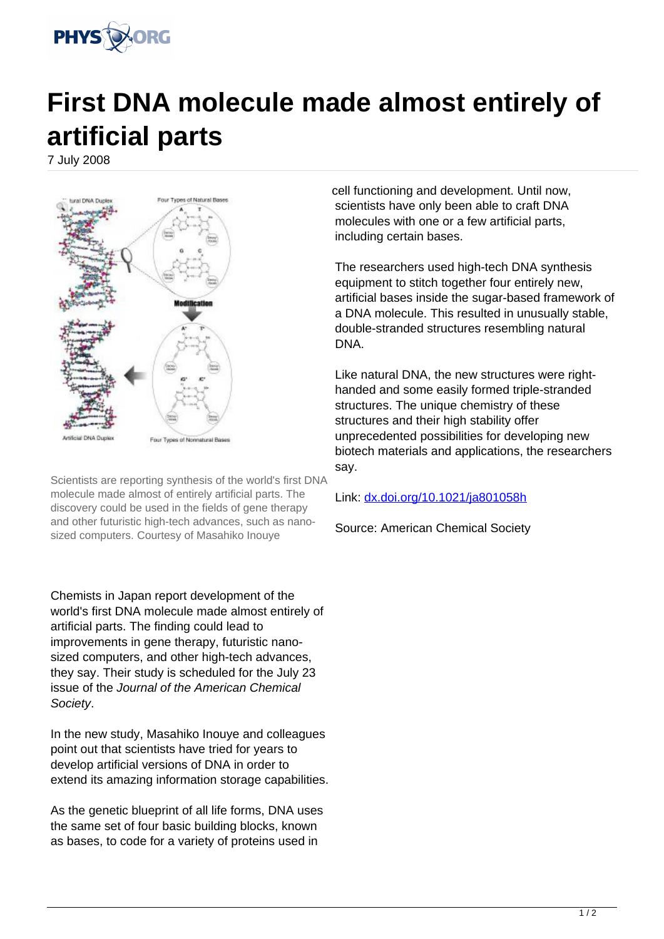

## **First DNA molecule made almost entirely of artificial parts**

7 July 2008



Scientists are reporting synthesis of the world's first DNA molecule made almost of entirely artificial parts. The discovery could be used in the fields of gene therapy and other futuristic high-tech advances, such as nanosized computers. Courtesy of Masahiko Inouye

Chemists in Japan report development of the world's first DNA molecule made almost entirely of artificial parts. The finding could lead to improvements in gene therapy, futuristic nanosized computers, and other high-tech advances, they say. Their study is scheduled for the July 23 issue of the Journal of the American Chemical Society.

In the new study, Masahiko Inouye and colleagues point out that scientists have tried for years to develop artificial versions of DNA in order to extend its amazing information storage capabilities.

As the genetic blueprint of all life forms, DNA uses the same set of four basic building blocks, known as bases, to code for a variety of proteins used in

cell functioning and development. Until now, scientists have only been able to craft DNA molecules with one or a few artificial parts, including certain bases.

The researchers used high-tech DNA synthesis equipment to stitch together four entirely new, artificial bases inside the sugar-based framework of a DNA molecule. This resulted in unusually stable, double-stranded structures resembling natural DNA.

Like natural DNA, the new structures were righthanded and some easily formed triple-stranded structures. The unique chemistry of these structures and their high stability offer unprecedented possibilities for developing new biotech materials and applications, the researchers say.

Link: [dx.doi.org/10.1021/ja801058h](http://dx.doi.org/10.1021/ja801058h)

Source: American Chemical Society